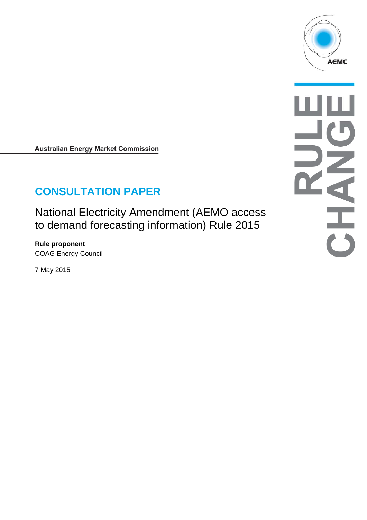

**Australian Energy Market Commission** 

# **CONSULTATION PAPER**

National Electricity Amendment (AEMO access to demand forecasting information) Rule 2015

**Rule proponent**  COAG Energy Council

7 May 2015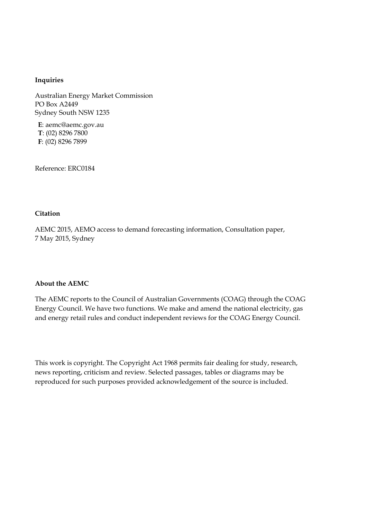#### **Inquiries**

Australian Energy Market Commission PO Box A2449 Sydney South NSW 1235

**E**: aemc@aemc.gov.au **T**: (02) 8296 7800 **F**: (02) 8296 7899

Reference: ERC0184

#### **Citation**

AEMC 2015, AEMO access to demand forecasting information, Consultation paper, 7 May 2015, Sydney

#### **About the AEMC**

The AEMC reports to the Council of Australian Governments (COAG) through the COAG Energy Council. We have two functions. We make and amend the national electricity, gas and energy retail rules and conduct independent reviews for the COAG Energy Council.

This work is copyright. The Copyright Act 1968 permits fair dealing for study, research, news reporting, criticism and review. Selected passages, tables or diagrams may be reproduced for such purposes provided acknowledgement of the source is included.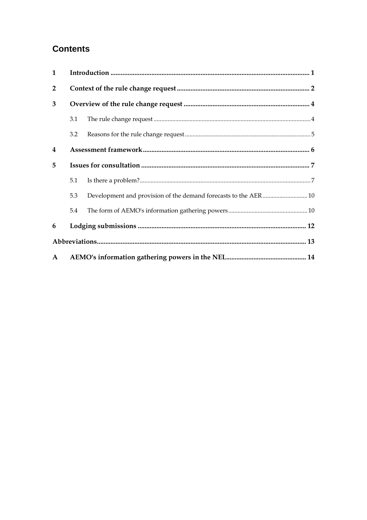# **Contents**

| $\mathbf{1}$   |     |                                                                 |  |  |
|----------------|-----|-----------------------------------------------------------------|--|--|
| $\overline{2}$ |     |                                                                 |  |  |
| 3              |     |                                                                 |  |  |
|                | 3.1 |                                                                 |  |  |
|                | 3.2 |                                                                 |  |  |
| 4              |     |                                                                 |  |  |
| 5              |     |                                                                 |  |  |
|                | 5.1 |                                                                 |  |  |
|                | 5.3 | Development and provision of the demand forecasts to the AER 10 |  |  |
|                | 5.4 |                                                                 |  |  |
| 6              |     |                                                                 |  |  |
|                |     |                                                                 |  |  |
| $\mathbf{A}$   |     |                                                                 |  |  |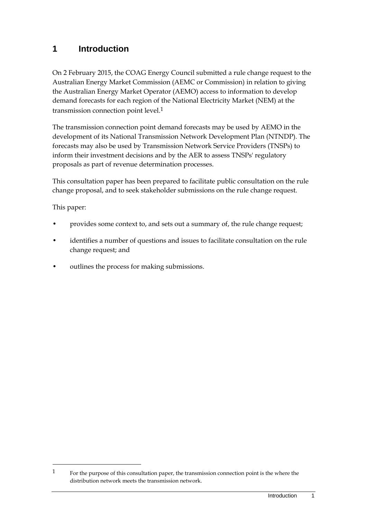### **1 Introduction**

On 2 February 2015, the COAG Energy Council submitted a rule change request to the Australian Energy Market Commission (AEMC or Commission) in relation to giving the Australian Energy Market Operator (AEMO) access to information to develop demand forecasts for each region of the National Electricity Market (NEM) at the transmission connection point level.1

The transmission connection point demand forecasts may be used by AEMO in the development of its National Transmission Network Development Plan (NTNDP). The forecasts may also be used by Transmission Network Service Providers (TNSPs) to inform their investment decisions and by the AER to assess TNSPs' regulatory proposals as part of revenue determination processes.

This consultation paper has been prepared to facilitate public consultation on the rule change proposal, and to seek stakeholder submissions on the rule change request.

This paper:

- provides some context to, and sets out a summary of, the rule change request;
- identifies a number of questions and issues to facilitate consultation on the rule change request; and
- outlines the process for making submissions.

<sup>1</sup> For the purpose of this consultation paper, the transmission connection point is the where the distribution network meets the transmission network.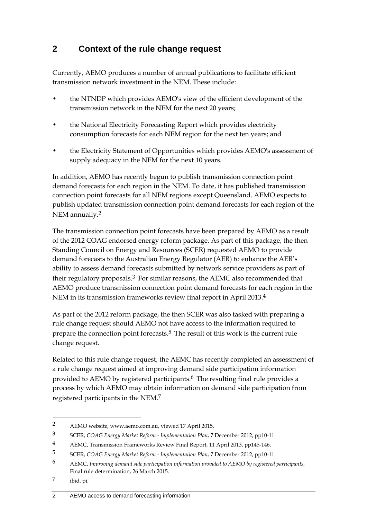# **2 Context of the rule change request**

Currently, AEMO produces a number of annual publications to facilitate efficient transmission network investment in the NEM. These include:

- the NTNDP which provides AEMO's view of the efficient development of the transmission network in the NEM for the next 20 years;
- the National Electricity Forecasting Report which provides electricity consumption forecasts for each NEM region for the next ten years; and
- the Electricity Statement of Opportunities which provides AEMO's assessment of supply adequacy in the NEM for the next 10 years.

In addition, AEMO has recently begun to publish transmission connection point demand forecasts for each region in the NEM. To date, it has published transmission connection point forecasts for all NEM regions except Queensland. AEMO expects to publish updated transmission connection point demand forecasts for each region of the NEM annually.2

The transmission connection point forecasts have been prepared by AEMO as a result of the 2012 COAG endorsed energy reform package. As part of this package, the then Standing Council on Energy and Resources (SCER) requested AEMO to provide demand forecasts to the Australian Energy Regulator (AER) to enhance the AER's ability to assess demand forecasts submitted by network service providers as part of their regulatory proposals.3 For similar reasons, the AEMC also recommended that AEMO produce transmission connection point demand forecasts for each region in the NEM in its transmission frameworks review final report in April 2013.4

As part of the 2012 reform package, the then SCER was also tasked with preparing a rule change request should AEMO not have access to the information required to prepare the connection point forecasts.<sup>5</sup> The result of this work is the current rule change request.

Related to this rule change request, the AEMC has recently completed an assessment of a rule change request aimed at improving demand side participation information provided to AEMO by registered participants.<sup>6</sup> The resulting final rule provides a process by which AEMO may obtain information on demand side participation from registered participants in the NEM.7

<sup>2</sup> AEMO website, www.aemo.com.au, viewed 17 April 2015.

<sup>3</sup> SCER, *COAG Energy Market Reform - Implementation Plan*, 7 December 2012, pp10-11.

<sup>4</sup> AEMC, Transmission Frameworks Review Final Report, 11 April 2013, pp145-146.

<sup>5</sup> SCER, *COAG Energy Market Reform - Implementation Plan*, 7 December 2012, pp10-11.

<sup>6</sup> AEMC, *Improving demand side participation information provided to AEMO by registered participants*, Final rule determination, 26 March 2015.

<sup>7</sup> ibid. pi.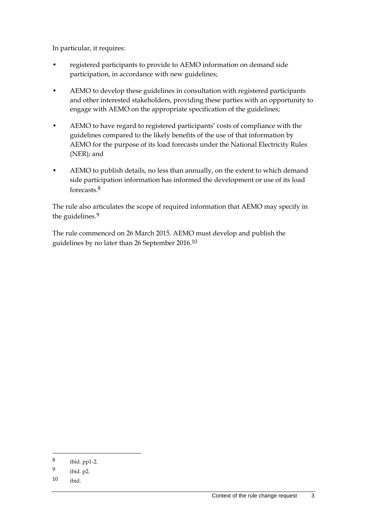In particular, it requires:

- registered participants to provide to AEMO information on demand side participation, in accordance with new guidelines;
- AEMO to develop these guidelines in consultation with registered participants and other interested stakeholders, providing these parties with an opportunity to engage with AEMO on the appropriate specification of the guidelines;
- AEMO to have regard to registered participants' costs of compliance with the guidelines compared to the likely benefits of the use of that information by AEMO for the purpose of its load forecasts under the National Electricity Rules (NER); and
- AEMO to publish details, no less than annually, on the extent to which demand side participation information has informed the development or use of its load forecasts 8

The rule also articulates the scope of required information that AEMO may specify in the guidelines.<sup>9</sup>

The rule commenced on 26 March 2015. AEMO must develop and publish the guidelines by no later than 26 September 2016.10

<u>.</u>

<sup>8</sup> ibid. pp1-2.

<sup>9</sup> ibid. p2.

<sup>10</sup> ibid.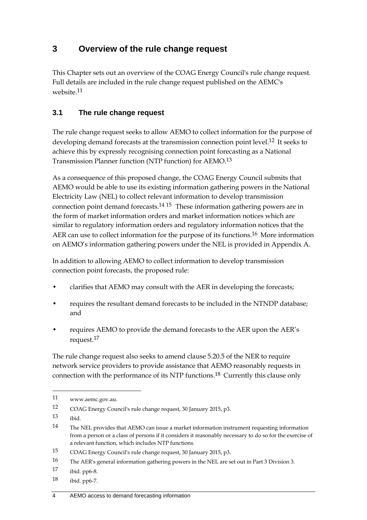## **3 Overview of the rule change request**

This Chapter sets out an overview of the COAG Energy Council's rule change request. Full details are included in the rule change request published on the AEMC's website.11

### **3.1 The rule change request**

The rule change request seeks to allow AEMO to collect information for the purpose of developing demand forecasts at the transmission connection point level.<sup>12</sup> It seeks to achieve this by expressly recognising connection point forecasting as a National Transmission Planner function (NTP function) for AEMO.13

As a consequence of this proposed change, the COAG Energy Council submits that AEMO would be able to use its existing information gathering powers in the National Electricity Law (NEL) to collect relevant information to develop transmission connection point demand forecasts.14 15 These information gathering powers are in the form of market information orders and market information notices which are similar to regulatory information orders and regulatory information notices that the AER can use to collect information for the purpose of its functions.<sup>16</sup> More information on AEMO's information gathering powers under the NEL is provided in Appendix A.

In addition to allowing AEMO to collect information to develop transmission connection point forecasts, the proposed rule:

- clarifies that AEMO may consult with the AER in developing the forecasts;
- requires the resultant demand forecasts to be included in the NTNDP database; and
- requires AEMO to provide the demand forecasts to the AER upon the AER's request.17

The rule change request also seeks to amend clause 5.20.5 of the NER to require network service providers to provide assistance that AEMO reasonably requests in connection with the performance of its NTP functions.18 Currently this clause only

13 ibid.

- 17 ibid. pp6-8.
- 18 ibid. pp6-7.

<sup>11</sup> www.aemc.gov.au.

<sup>12</sup> COAG Energy Council's rule change request, 30 January 2015, p3.

<sup>14</sup> The NEL provides that AEMO can issue a market information instrument requesting information from a person or a class of persons if it considers it reasonably necessary to do so for the exercise of a relevant function, which includes NTP functions.

<sup>15</sup> COAG Energy Council's rule change request, 30 January 2015, p3.

<sup>16</sup> The AER's general information gathering powers in the NEL are set out in Part 3 Division 3.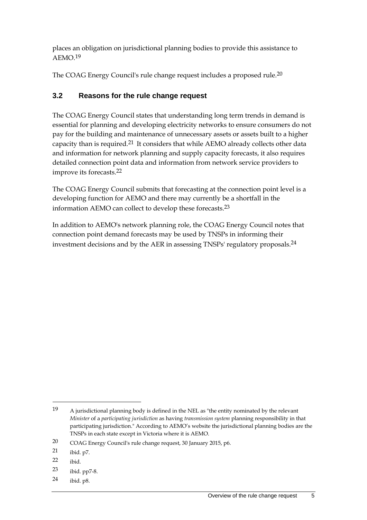places an obligation on jurisdictional planning bodies to provide this assistance to  $AEMO<sup>19</sup>$ 

The COAG Energy Council's rule change request includes a proposed rule.20

### **3.2 Reasons for the rule change request**

The COAG Energy Council states that understanding long term trends in demand is essential for planning and developing electricity networks to ensure consumers do not pay for the building and maintenance of unnecessary assets or assets built to a higher capacity than is required.21 It considers that while AEMO already collects other data and information for network planning and supply capacity forecasts, it also requires detailed connection point data and information from network service providers to improve its forecasts.22

The COAG Energy Council submits that forecasting at the connection point level is a developing function for AEMO and there may currently be a shortfall in the information AEMO can collect to develop these forecasts.23

In addition to AEMO's network planning role, the COAG Energy Council notes that connection point demand forecasts may be used by TNSPs in informing their investment decisions and by the AER in assessing TNSPs' regulatory proposals.24

1

24 ibid. p8.

<sup>19</sup> A jurisdictional planning body is defined in the NEL as "the entity nominated by the relevant *Minister* of a *participating jurisdiction* as having *transmission system* planning responsibility in that participating jurisdiction." According to AEMO's website the jurisdictional planning bodies are the TNSPs in each state except in Victoria where it is AEMO.

<sup>20</sup> COAG Energy Council's rule change request, 30 January 2015, p6.

<sup>21</sup> ibid. p7.

<sup>22</sup> ibid.

<sup>23</sup> ibid. pp7-8.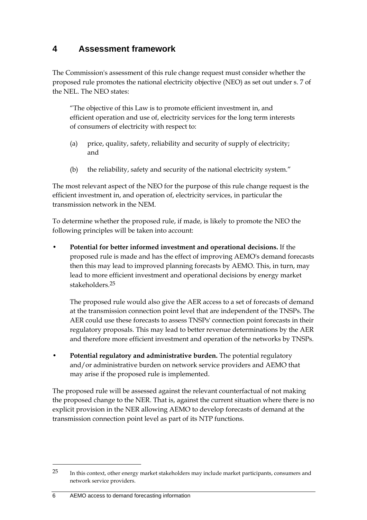### **4 Assessment framework**

The Commission's assessment of this rule change request must consider whether the proposed rule promotes the national electricity objective (NEO) as set out under s. 7 of the NEL. The NEO states:

"The objective of this Law is to promote efficient investment in, and efficient operation and use of, electricity services for the long term interests of consumers of electricity with respect to:

- (a) price, quality, safety, reliability and security of supply of electricity; and
- (b) the reliability, safety and security of the national electricity system."

The most relevant aspect of the NEO for the purpose of this rule change request is the efficient investment in, and operation of, electricity services, in particular the transmission network in the NEM.

To determine whether the proposed rule, if made, is likely to promote the NEO the following principles will be taken into account:

• **Potential for better informed investment and operational decisions.** If the proposed rule is made and has the effect of improving AEMO's demand forecasts then this may lead to improved planning forecasts by AEMO. This, in turn, may lead to more efficient investment and operational decisions by energy market stakeholders.25

The proposed rule would also give the AER access to a set of forecasts of demand at the transmission connection point level that are independent of the TNSPs. The AER could use these forecasts to assess TNSPs' connection point forecasts in their regulatory proposals. This may lead to better revenue determinations by the AER and therefore more efficient investment and operation of the networks by TNSPs.

• **Potential regulatory and administrative burden.** The potential regulatory and/or administrative burden on network service providers and AEMO that may arise if the proposed rule is implemented.

The proposed rule will be assessed against the relevant counterfactual of not making the proposed change to the NER. That is, against the current situation where there is no explicit provision in the NER allowing AEMO to develop forecasts of demand at the transmission connection point level as part of its NTP functions.

<sup>25</sup> In this context, other energy market stakeholders may include market participants, consumers and network service providers.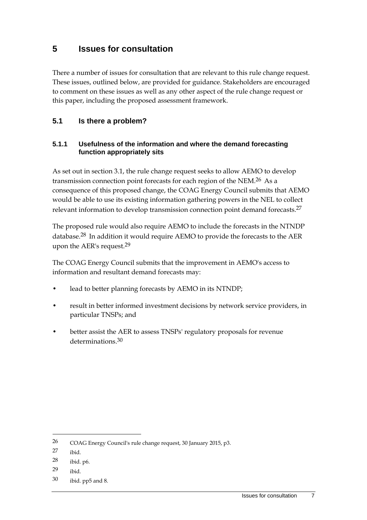### **5 Issues for consultation**

There a number of issues for consultation that are relevant to this rule change request. These issues, outlined below, are provided for guidance. Stakeholders are encouraged to comment on these issues as well as any other aspect of the rule change request or this paper, including the proposed assessment framework.

### **5.1 Is there a problem?**

#### **5.1.1 Usefulness of the information and where the demand forecasting function appropriately sits**

As set out in section 3.1, the rule change request seeks to allow AEMO to develop transmission connection point forecasts for each region of the NEM.26 As a consequence of this proposed change, the COAG Energy Council submits that AEMO would be able to use its existing information gathering powers in the NEL to collect relevant information to develop transmission connection point demand forecasts.27

The proposed rule would also require AEMO to include the forecasts in the NTNDP database.28 In addition it would require AEMO to provide the forecasts to the AER upon the AER's request.29

The COAG Energy Council submits that the improvement in AEMO's access to information and resultant demand forecasts may:

- lead to better planning forecasts by AEMO in its NTNDP;
- result in better informed investment decisions by network service providers, in particular TNSPs; and
- better assist the AER to assess TNSPs' regulatory proposals for revenue determinations.<sup>30</sup>

<sup>26</sup> COAG Energy Council's rule change request, 30 January 2015, p3.

<sup>27</sup> ibid.

<sup>28</sup> ibid. p6.

<sup>29</sup> ibid.

<sup>30</sup> ibid. pp5 and 8.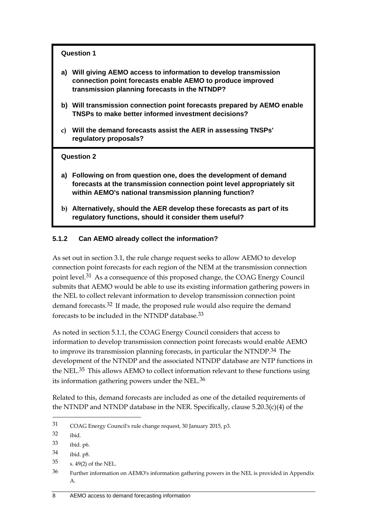#### **Question 1**

- **a) Will giving AEMO access to information to develop transmission connection point forecasts enable AEMO to produce improved transmission planning forecasts in the NTNDP?**
- **b) Will transmission connection point forecasts prepared by AEMO enable TNSPs to make better informed investment decisions?**
- **c) Will the demand forecasts assist the AER in assessing TNSPs' regulatory proposals?**

#### **Question 2**

- **a) Following on from question one, does the development of demand forecasts at the transmission connection point level appropriately sit within AEMO's national transmission planning function?**
- **b) Alternatively, should the AER develop these forecasts as part of its regulatory functions, should it consider them useful?**

#### **5.1.2 Can AEMO already collect the information?**

As set out in section 3.1, the rule change request seeks to allow AEMO to develop connection point forecasts for each region of the NEM at the transmission connection point level.31 As a consequence of this proposed change, the COAG Energy Council submits that AEMO would be able to use its existing information gathering powers in the NEL to collect relevant information to develop transmission connection point demand forecasts.32 If made, the proposed rule would also require the demand forecasts to be included in the NTNDP database.33

As noted in section 5.1.1, the COAG Energy Council considers that access to information to develop transmission connection point forecasts would enable AEMO to improve its transmission planning forecasts, in particular the NTNDP.<sup>34</sup> The development of the NTNDP and the associated NTNDP database are NTP functions in the NEL.35 This allows AEMO to collect information relevant to these functions using its information gathering powers under the NEL.36

Related to this, demand forecasts are included as one of the detailed requirements of the NTNDP and NTNDP database in the NER. Specifically, clause 5.20.3(c)(4) of the

32 ibid.

<sup>31</sup> COAG Energy Council's rule change request, 30 January 2015, p3.

<sup>33</sup> ibid. p6.

<sup>34</sup> ibid. p8.

<sup>35</sup> s. 49(2) of the NEL.

<sup>36</sup> Further information on AEMO's information gathering powers in the NEL is provided in Appendix A.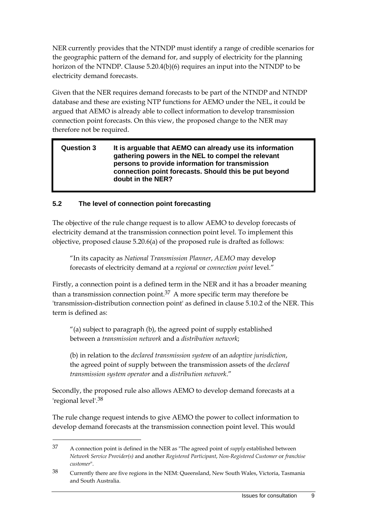NER currently provides that the NTNDP must identify a range of credible scenarios for the geographic pattern of the demand for, and supply of electricity for the planning horizon of the NTNDP. Clause 5.20.4(b)(6) requires an input into the NTNDP to be electricity demand forecasts.

Given that the NER requires demand forecasts to be part of the NTNDP and NTNDP database and these are existing NTP functions for AEMO under the NEL, it could be argued that AEMO is already able to collect information to develop transmission connection point forecasts. On this view, the proposed change to the NER may therefore not be required.

#### **Question 3 It is arguable that AEMO can already use its information gathering powers in the NEL to compel the relevant persons to provide information for transmission connection point forecasts. Should this be put beyond doubt in the NER?**

### **5.2 The level of connection point forecasting**

1

The objective of the rule change request is to allow AEMO to develop forecasts of electricity demand at the transmission connection point level. To implement this objective, proposed clause 5.20.6(a) of the proposed rule is drafted as follows:

"In its capacity as *National Transmission Planner*, *AEMO* may develop forecasts of electricity demand at a *regional* or *connection point* level."

Firstly, a connection point is a defined term in the NER and it has a broader meaning than a transmission connection point.<sup>37</sup> A more specific term may therefore be 'transmission-distribution connection point' as defined in clause 5.10.2 of the NER. This term is defined as:

"(a) subject to paragraph (b), the agreed point of supply established between a *transmission network* and a *distribution network*;

(b) in relation to the *declared transmission system* of an *adoptive jurisdiction*, the agreed point of supply between the transmission assets of the *declared transmission system operator* and a *distribution network*."

Secondly, the proposed rule also allows AEMO to develop demand forecasts at a 'regional level'.38

The rule change request intends to give AEMO the power to collect information to develop demand forecasts at the transmission connection point level. This would

<sup>37</sup> A connection point is defined in the NER as "The agreed point of *supply* established between *Network Service Provider(s)* and another *Registered Participant*, *Non-Registered Customer* or *franchise customer*".

<sup>38</sup> Currently there are five regions in the NEM: Queensland, New South Wales, Victoria, Tasmania and South Australia.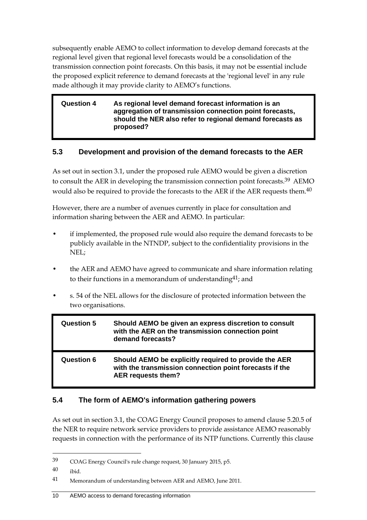subsequently enable AEMO to collect information to develop demand forecasts at the regional level given that regional level forecasts would be a consolidation of the transmission connection point forecasts. On this basis, it may not be essential include the proposed explicit reference to demand forecasts at the 'regional level' in any rule made although it may provide clarity to AEMO's functions.

#### **Question 4 As regional level demand forecast information is an aggregation of transmission connection point forecasts, should the NER also refer to regional demand forecasts as proposed?**

### **5.3 Development and provision of the demand forecasts to the AER**

As set out in section 3.1, under the proposed rule AEMO would be given a discretion to consult the AER in developing the transmission connection point forecasts.<sup>39</sup> AEMO would also be required to provide the forecasts to the AER if the AER requests them.40

However, there are a number of avenues currently in place for consultation and information sharing between the AER and AEMO. In particular:

- if implemented, the proposed rule would also require the demand forecasts to be publicly available in the NTNDP, subject to the confidentiality provisions in the NEL;
- the AER and AEMO have agreed to communicate and share information relating to their functions in a memorandum of understanding  $41$ ; and
- s. 54 of the NEL allows for the disclosure of protected information between the two organisations.

| <b>Question 5</b> | Should AEMO be given an express discretion to consult<br>with the AER on the transmission connection point<br>demand forecasts?        |
|-------------------|----------------------------------------------------------------------------------------------------------------------------------------|
| <b>Question 6</b> | Should AEMO be explicitly required to provide the AER<br>with the transmission connection point forecasts if the<br>AER requests them? |

### **5.4 The form of AEMO's information gathering powers**

As set out in section 3.1, the COAG Energy Council proposes to amend clause 5.20.5 of the NER to require network service providers to provide assistance AEMO reasonably requests in connection with the performance of its NTP functions. Currently this clause

<u>.</u>

<sup>39</sup> COAG Energy Council's rule change request, 30 January 2015, p5.

<sup>40</sup> ibid.

<sup>41</sup> Memorandum of understanding between AER and AEMO, June 2011.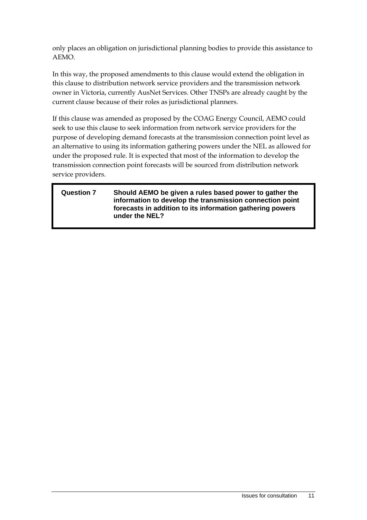only places an obligation on jurisdictional planning bodies to provide this assistance to AEMO.

In this way, the proposed amendments to this clause would extend the obligation in this clause to distribution network service providers and the transmission network owner in Victoria, currently AusNet Services. Other TNSPs are already caught by the current clause because of their roles as jurisdictional planners.

If this clause was amended as proposed by the COAG Energy Council, AEMO could seek to use this clause to seek information from network service providers for the purpose of developing demand forecasts at the transmission connection point level as an alternative to using its information gathering powers under the NEL as allowed for under the proposed rule. It is expected that most of the information to develop the transmission connection point forecasts will be sourced from distribution network service providers.

#### **Question 7 Should AEMO be given a rules based power to gather the information to develop the transmission connection point forecasts in addition to its information gathering powers under the NEL?**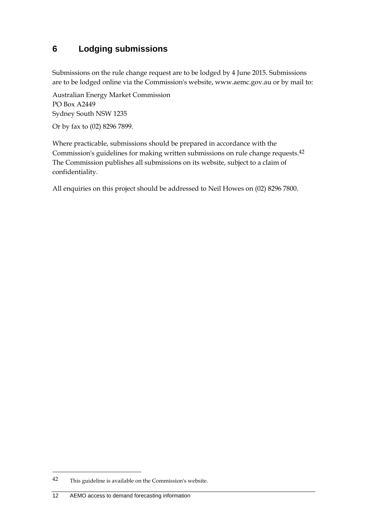# **6 Lodging submissions**

Submissions on the rule change request are to be lodged by 4 June 2015. Submissions are to be lodged online via the Commission's website, www.aemc.gov.au or by mail to:

Australian Energy Market Commission PO Box A2449 Sydney South NSW 1235

Or by fax to (02) 8296 7899.

Where practicable, submissions should be prepared in accordance with the Commission's guidelines for making written submissions on rule change requests.42 The Commission publishes all submissions on its website, subject to a claim of confidentiality.

All enquiries on this project should be addressed to Neil Howes on (02) 8296 7800.

<sup>42</sup> This guideline is available on the Commission's website.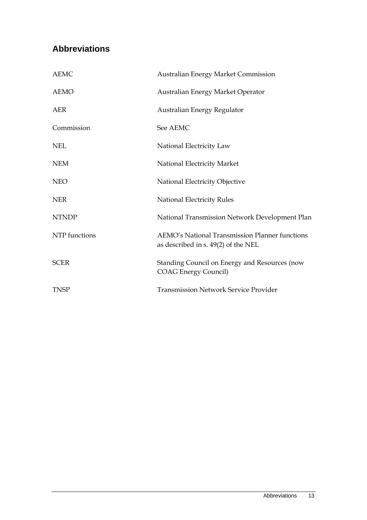# **Abbreviations**

| <b>AEMC</b>   | <b>Australian Energy Market Commission</b>                                            |
|---------------|---------------------------------------------------------------------------------------|
| <b>AEMO</b>   | Australian Energy Market Operator                                                     |
| AER           | Australian Energy Regulator                                                           |
| Commission    | See AEMC                                                                              |
| <b>NEL</b>    | National Electricity Law                                                              |
| <b>NEM</b>    | National Electricity Market                                                           |
| <b>NEO</b>    | National Electricity Objective                                                        |
| <b>NER</b>    | <b>National Electricity Rules</b>                                                     |
| <b>NTNDP</b>  | National Transmission Network Development Plan                                        |
| NTP functions | AEMO's National Transmission Planner functions<br>as described in s. 49(2) of the NEL |
| <b>SCER</b>   | Standing Council on Energy and Resources (now<br><b>COAG Energy Council)</b>          |
| <b>TNSP</b>   | <b>Transmission Network Service Provider</b>                                          |